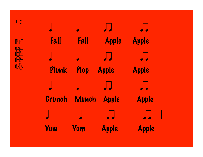

n

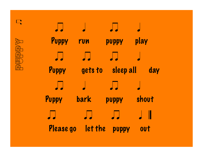

n

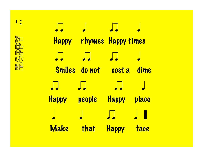

n

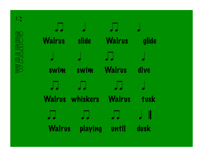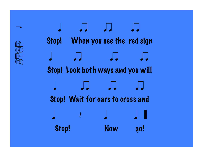

Stop Han

 $\overline{\phantom{a}}$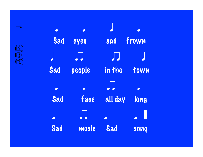

 $\bullet$ 

| Sad | eyes                     | sad                      | frown |
|-----|--------------------------|--------------------------|-------|
|     | $\overline{\phantom{a}}$ | $\overline{\phantom{a}}$ |       |
| Sad | people                   | in the                   | town  |
|     |                          | $\sqrt{\phantom{a}}$     |       |
| Sad | face                     | all day                  | long  |
|     | J J                      |                          |       |
| Sad | music                    | Sad                      | song  |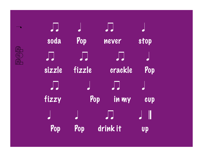$\overline{\phantom{a}}$ 

| $\overline{\phantom{a}}$ |         | $\overline{\phantom{a}}$ |      |
|--------------------------|---------|--------------------------|------|
| soda                     | Pop     | never                    | stop |
| $\sqrt{\phantom{a}}$     | $\prod$ | $\overline{\phantom{a}}$ |      |
| sizzle                   | fizzle  | crackle                  | Pop  |
| $\overline{\phantom{a}}$ |         | $\overline{\phantom{a}}$ |      |
| fizzy                    | Pop     | in my                    | cup  |
|                          |         | ┙┙                       | Ш    |
|                          |         |                          |      |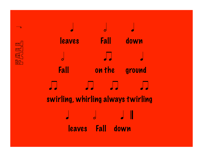

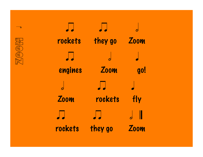

| rockets | they go | <b>Zoom</b> |
|---------|---------|-------------|
|         |         |             |
| engines | Zoom    | go!         |
|         |         |             |
| Zoom    | rockets | fly         |
|         |         | I           |
| rockets | they go | Zoom        |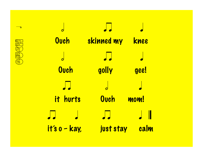

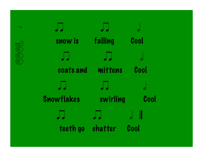

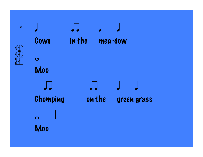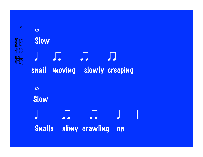## $\bullet$ **Slow** q n n n snail moving slowly creeping  $\overline{\mathbf{o}}$  Slow  $\overline{a}$  and  $\overline{a}$  and  $\overline{a}$  and  $\overline{a}$ Snails slimy crawling on

SHS HA

 $\bullet$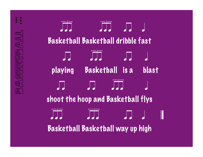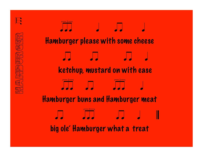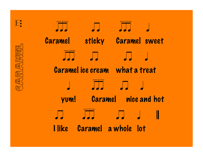$\sqrt{\frac{1}{1-\epsilon}}$ 

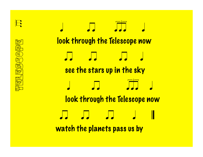<mark>们你</mark> alah agacama  $\frac{1}{\sqrt{2}}$ 中国民事 <mark>ᡀ</mark>ॻ

T

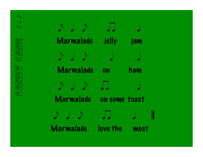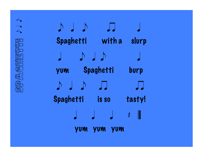

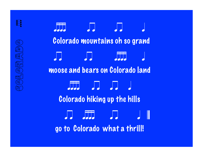Œ ega op a a do **TH** 睡 **A** E **TILE** SFF. H

R

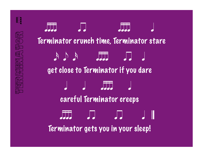